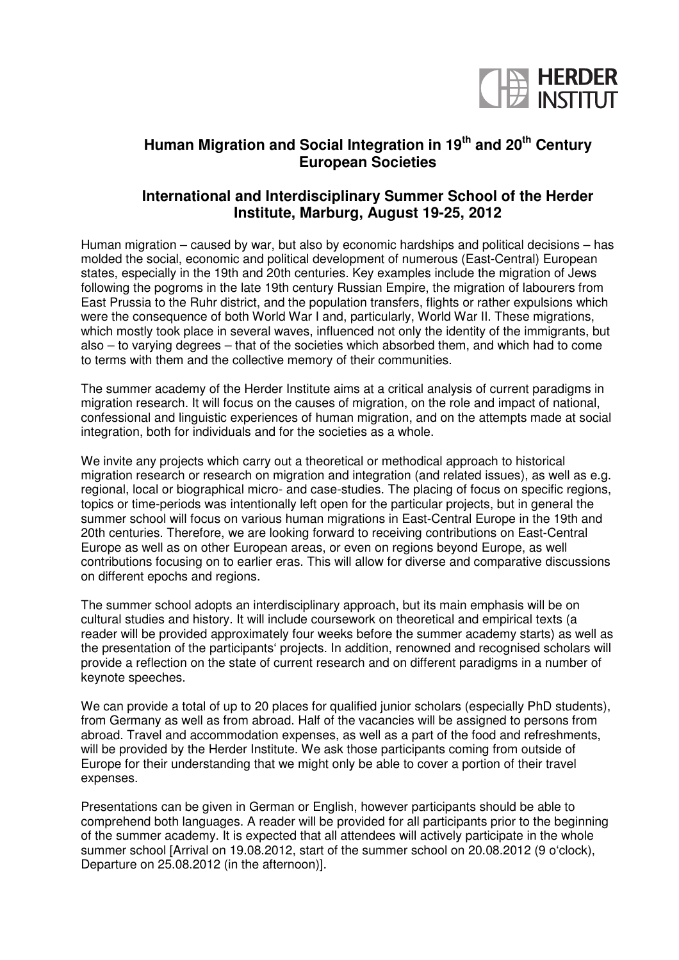

## **Human Migration and Social Integration in 19th and 20th Century European Societies**

## **International and Interdisciplinary Summer School of the Herder Institute, Marburg, August 19-25, 2012**

Human migration – caused by war, but also by economic hardships and political decisions – has molded the social, economic and political development of numerous (East-Central) European states, especially in the 19th and 20th centuries. Key examples include the migration of Jews following the pogroms in the late 19th century Russian Empire, the migration of labourers from East Prussia to the Ruhr district, and the population transfers, flights or rather expulsions which were the consequence of both World War I and, particularly, World War II. These migrations, which mostly took place in several waves, influenced not only the identity of the immigrants, but also – to varying degrees – that of the societies which absorbed them, and which had to come to terms with them and the collective memory of their communities.

The summer academy of the Herder Institute aims at a critical analysis of current paradigms in migration research. It will focus on the causes of migration, on the role and impact of national, confessional and linguistic experiences of human migration, and on the attempts made at social integration, both for individuals and for the societies as a whole.

We invite any projects which carry out a theoretical or methodical approach to historical migration research or research on migration and integration (and related issues), as well as e.g. regional, local or biographical micro- and case-studies. The placing of focus on specific regions, topics or time-periods was intentionally left open for the particular projects, but in general the summer school will focus on various human migrations in East-Central Europe in the 19th and 20th centuries. Therefore, we are looking forward to receiving contributions on East-Central Europe as well as on other European areas, or even on regions beyond Europe, as well contributions focusing on to earlier eras. This will allow for diverse and comparative discussions on different epochs and regions.

The summer school adopts an interdisciplinary approach, but its main emphasis will be on cultural studies and history. It will include coursework on theoretical and empirical texts (a reader will be provided approximately four weeks before the summer academy starts) as well as the presentation of the participants' projects. In addition, renowned and recognised scholars will provide a reflection on the state of current research and on different paradigms in a number of keynote speeches.

We can provide a total of up to 20 places for qualified junior scholars (especially PhD students), from Germany as well as from abroad. Half of the vacancies will be assigned to persons from abroad. Travel and accommodation expenses, as well as a part of the food and refreshments, will be provided by the Herder Institute. We ask those participants coming from outside of Europe for their understanding that we might only be able to cover a portion of their travel expenses.

Presentations can be given in German or English, however participants should be able to comprehend both languages. A reader will be provided for all participants prior to the beginning of the summer academy. It is expected that all attendees will actively participate in the whole summer school [Arrival on 19.08.2012, start of the summer school on 20.08.2012 (9 o'clock), Departure on 25.08.2012 (in the afternoon)].